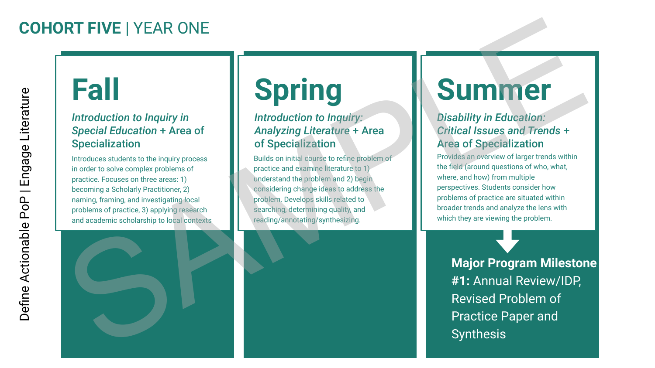### **COHORT FIVE** | YEAR ONE

### **Fall**

#### *Introduction to Inquiry in Special Education* + Area of Specialization

Introduces students to the inquiry process in order to solve complex problems of practice. Focuses on three areas: 1) becoming a Scholarly Practitioner, 2) naming, framing, and investigating local problems of practice, 3) applying research and academic scholarship to local contexts



# **Spring**

#### *Introduction to Inquiry: Analyzing Literature* + Area of Specialization

Builds on initial course to refine problem of practice and examine literature to 1) understand the problem and 2) begin considering change ideas to address the problem. Develops skills related to searching, determining quality, and reading/annotating/synthesizing.

## **Summer**

#### *Disability in Education: Critical Issues and Trends* + Area of Specialization

Provides an overview of larger trends within the field (around questions of who, what, where, and how) from multiple perspectives. Students consider how problems of practice are situated within broader trends and analyze the lens with which they are viewing the problem.

**Major Program Milestone #1:** Annual Review/IDP, Revised Problem of Practice Paper and **Synthesis**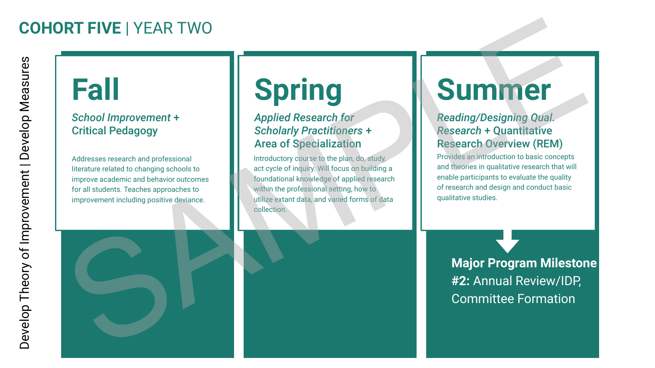### **COHORT FIVE** | YEAR TWO

## **Fall**

#### *School Improvement* + Critical Pedagogy

Addresses research and professional literature related to changing schools to improve academic and behavior outcomes for all students. Teaches approaches to improvement including positive deviance.

# **Spring**

#### *Applied Research for Scholarly Practitioners* + Area of Specialization

Introductory course to the plan, do, study, act cycle of inquiry. Will focus on building a foundational knowledge of applied research within the professional setting, how to utilize extant data, and varied forms of data collection.

## **Summer**

#### *Reading/Designing Qual. Research* + Quantitative Research Overview (REM)

Provides an introduction to basic concepts and theories in qualitative research that will enable participants to evaluate the quality of research and design and conduct basic qualitative studies.

**Major Program Milestone #2:** Annual Review/IDP, Committee Formation



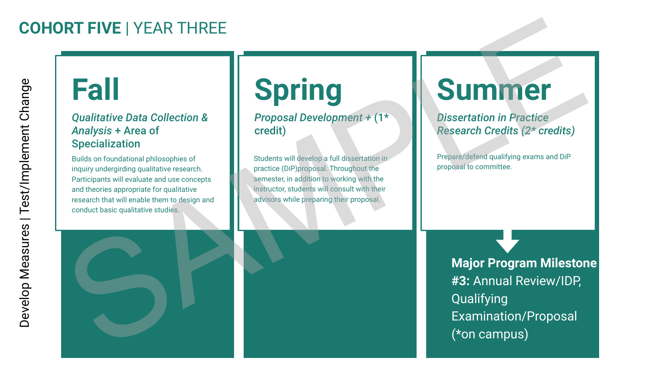### **COHORT FIVE** | YEAR THREE

### **Fall**

#### *Qualitative Data Collection & Analysis* + Area of Specialization

Builds on foundational philosophies of inquiry undergirding qualitative research. Participants will evaluate and use concepts and theories appropriate for qualitative research that will enable them to design and conduct basic qualitative studies.

# **Spring**

*Proposal Development +* (1\* credit)

Students will develop a full dissertation in practice (DiP)proposal. Throughout the semester, in addition to working with the instructor, students will consult with their advisors while preparing their proposal.

## **Summer**

*Dissertation in Practice Research Credits (2\* credits)*

Prepare/defend qualifying exams and DiP proposal to committee.

**Major Program Milestone #3:** Annual Review/IDP, Qualifying Examination/Proposal Fall<br>
Spring<br>
and that collection &<br>
Analysis + Area of<br>
Specialization<br>
Because of the specialization<br>
Because of the specialization<br>
Because of the specialization<br>
Because and the specialization<br>
Because of the specializ (\*on campus)